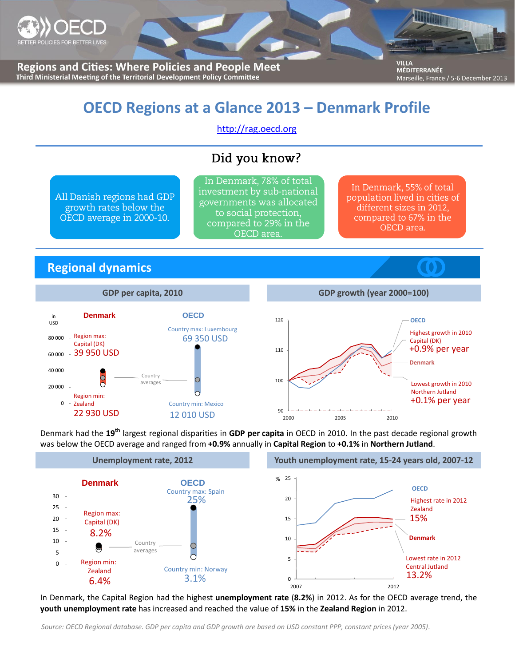

**Regions and Cities: Where Policies and People Meet** Third Ministerial Meeting of the Territorial Development Policy Committee

**VILLA** MÉDITERRANÉE Marseille, France / 5-6 December 2013

# **OECD Regions at a Glance 2013 – Denmark Profile**

[http://rag.oecd.org](http://rag.oecd.org/)

# Did you know?

All Danish regions had GDP growth rates below the OECD average in 2000-10.

In Denmark, 78% of total investment by sub-national governments was allocated to social protection, compared to 29% in the OECD area.

In Denmark, 55% of total population lived in cities of different sizes in 2012, compared to 67% in the OECD area.

## **Regional dynamics**



#### **GDP per capita, 2010 GDP growth (year 2000=100) OECD Denmark**  $-90$ <br>2000 100 110 120 2000 2005 2010 Lowest growth in 2010 Northern Jutland Highest growth in 2010 Capital (DK) +0.1% per year +0.9% per year

Denmark had the **19th** largest regional disparities in **GDP per capita** in OECD in 2010. In the past decade regional growth was below the OECD average and ranged from **+0.9%** annually in **Capital Region** to **+0.1%** in **Northern Jutland**.



In Denmark, the Capital Region had the highest **unemployment rate** (**8.2%**) in 2012. As for the OECD average trend, the **youth unemployment rate** has increased and reached the value of **15%** in the **Zealand Region** in 2012.

*Source: OECD Regional database. GDP per capita and GDP growth are based on USD constant PPP, constant prices (year 2005).*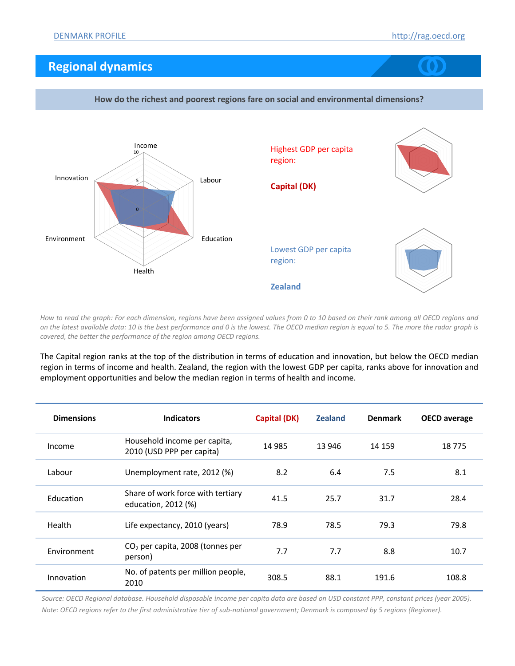# **Regional dynamics**





**How do the richest and poorest regions fare on social and environmental dimensions?**

*How to read the graph: For each dimension, regions have been assigned values from 0 to 10 based on their rank among all OECD regions and on the latest available data: 10 is the best performance and 0 is the lowest. The OECD median region is equal to 5. The more the radar graph is covered, the better the performance of the region among OECD regions.*

The Capital region ranks at the top of the distribution in terms of education and innovation, but below the OECD median region in terms of income and health. Zealand, the region with the lowest GDP per capita, ranks above for innovation and employment opportunities and below the median region in terms of health and income.

| <b>Dimensions</b> | <b>Indicators</b>                                         | <b>Capital (DK)</b> | <b>Zealand</b> | <b>Denmark</b> | <b>OECD</b> average |
|-------------------|-----------------------------------------------------------|---------------------|----------------|----------------|---------------------|
| Income            | Household income per capita,<br>2010 (USD PPP per capita) | 14 9 85             | 13 946         | 14 159         | 18775               |
| Labour            | Unemployment rate, 2012 (%)                               | 8.2                 | 6.4            | 7.5            | 8.1                 |
| Education         | Share of work force with tertiary<br>education, 2012 (%)  | 41.5                | 25.7           | 31.7           | 28.4                |
| Health            | Life expectancy, 2010 (years)                             | 78.9                | 78.5           | 79.3           | 79.8                |
| Environment       | CO <sub>2</sub> per capita, 2008 (tonnes per<br>person)   | 7.7                 | 7.7            | 8.8            | 10.7                |
| Innovation        | No. of patents per million people,<br>2010                | 308.5               | 88.1           | 191.6          | 108.8               |

*Source: OECD Regional database. Household disposable income per capita data are based on USD constant PPP, constant prices (year 2005). Note: OECD regions refer to the first administrative tier of sub-national government; Denmark is composed by 5 regions (Regioner).*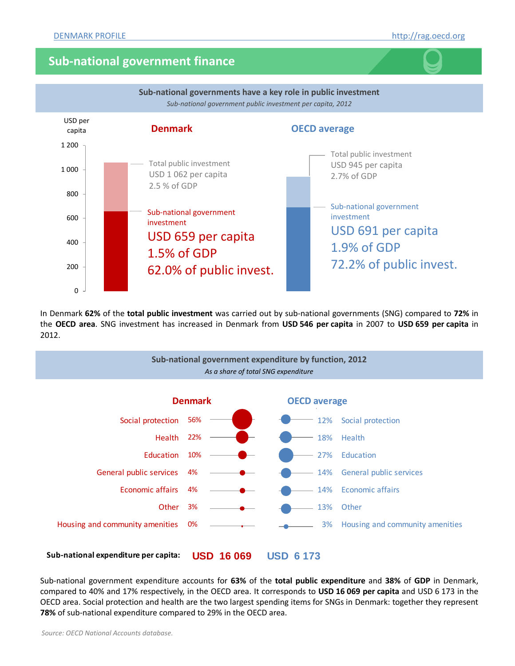### **Sub-national government finance**



In Denmark **62%** of the **total public investment** was carried out by sub-national governments (SNG) compared to **72%** in the **OECD area**. SNG investment has increased in Denmark from **USD 546 per capita** in 2007 to **USD 659 per capita** in 2012.



**USD 16 069 USD 6 173 Sub-national expenditure per capita:**

Sub-national government expenditure accounts for **63%** of the **total public expenditure** and **38%** of **GDP** in Denmark, compared to 40% and 17% respectively, in the OECD area. It corresponds to **USD 16 069 per capita** and USD 6 173 in the OECD area. Social protection and health are the two largest spending items for SNGs in Denmark: together they represent **78%** of sub-national expenditure compared to 29% in the OECD area.